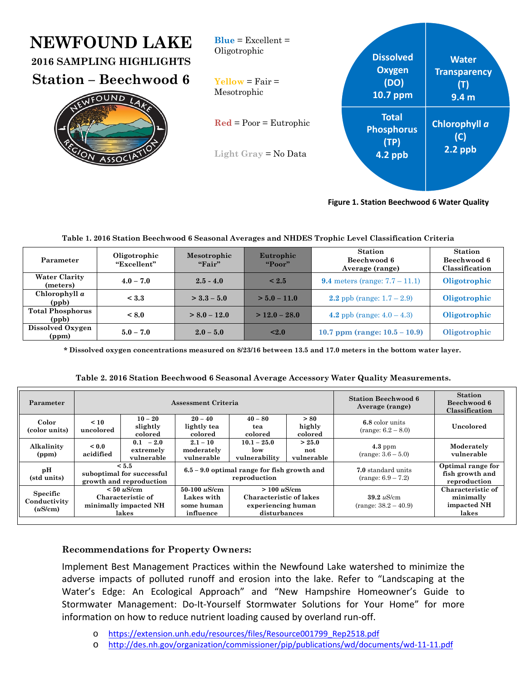| <b>NEWFOUND LAKE</b><br>2016 SAMPLING HIGHLIGHTS<br><b>Station – Beechwood 6</b><br>FOUND<br>ASGOC | $Blue = Excellent =$<br>Oligotrophic<br>$\text{Yellow} = \text{Fair} =$<br>Mesotrophic | <b>Dissolved</b><br><b>Oxygen</b><br>(DO)<br>10.7 ppm | <b>Water</b><br><b>Transparency</b><br>(T)<br>9.4 <sub>m</sub> |
|----------------------------------------------------------------------------------------------------|----------------------------------------------------------------------------------------|-------------------------------------------------------|----------------------------------------------------------------|
|                                                                                                    | $\text{Red} = \text{Poor} = \text{Eutrophic}$<br>Light Gray $=$ No Data                | <b>Total</b><br><b>Phosphorus</b><br>(TP)<br>4.2 ppb  | Chlorophyll a<br>(C)<br>$2.2$ ppb                              |

**Figure 1. Station Beechwood 6 Water Quality**

| Parameter                        | Oligotrophic<br>"Excellent" | Mesotrophic<br>"First" | Eutrophic<br>"Poor" | <b>Station</b><br>Beechwood 6<br>Average (range) | <b>Station</b><br>Beechwood 6<br>Classification |
|----------------------------------|-----------------------------|------------------------|---------------------|--------------------------------------------------|-------------------------------------------------|
| <b>Water Clarity</b><br>(meters) | $4.0 - 7.0$                 | $2.5 - 4.0$            | ${}_{\leq 2.5}$     | <b>9.4</b> meters (range: $7.7 - 11.1$ )         | Oligotrophic                                    |
| Chlorophyll a<br>(ppb)           | < 3.3                       | $>$ 3.3 – 5.0          | $> 5.0 - 11.0$      | 2.2 ppb (range: $1.7 - 2.9$ )                    | Oligotrophic                                    |
| <b>Total Phosphorus</b><br>(ppb) | < 8.0                       | $> 8.0 - 12.0$         | $> 12.0 - 28.0$     | 4.2 ppb (range: $4.0 - 4.3$ )                    | Oligotrophic                                    |
| Dissolved Oxygen<br>(ppm)        | $5.0 - 7.0$                 | $2.0 - 5.0$            | $2.0$               | 10.7 ppm (range: $10.5 - 10.9$ )                 | Oligotrophic                                    |

 **\* Dissolved oxygen concentrations measured on 8/23/16 between 13.5 and 17.0 meters in the bottom water layer.** 

| Table 2. 2016 Station Beechwood 6 Seasonal Average Accessory Water Quality Measurements. |  |  |
|------------------------------------------------------------------------------------------|--|--|
|                                                                                          |  |  |

| Parameter                           | Assessment Criteria     |                                                                                                                                                                                                                              |                                                               |                                           | <b>Station Beechwood 6</b><br>Average (range)          | <b>Station</b><br>Beechwood 6<br>Classification      |                          |
|-------------------------------------|-------------------------|------------------------------------------------------------------------------------------------------------------------------------------------------------------------------------------------------------------------------|---------------------------------------------------------------|-------------------------------------------|--------------------------------------------------------|------------------------------------------------------|--------------------------|
| Color<br>(color units)              | < 10<br>uncolored       | $10 - 20$<br>slightly<br>colored                                                                                                                                                                                             | $20 - 40$<br>lightly tea<br>colored                           | $40 - 80$<br>tea<br>colored               | > 80<br>highly<br>colored                              | 6.8 color units<br>$(range: 6.2 - 8.0)$              | Uncolored                |
| Alkalinity<br>(ppm)                 | ${}_{0.0}$<br>acidified | $0.1 - 2.0$<br>extremely<br>vulnerable                                                                                                                                                                                       | $2.1 - 10$<br>moderately<br>vulnerable                        | $10.1 - 25.0$<br>low<br>vulnerability     | > 25.0<br>not<br>vulnerable                            | $4.3$ ppm<br>$(range: 3.6 - 5.0)$                    | Moderately<br>vulnerable |
| pН<br>(std units)                   |                         | < 5.5<br>suboptimal for successful<br>growth and reproduction                                                                                                                                                                | $6.5 - 9.0$ optimal range for fish growth and<br>reproduction |                                           | 7.0 standard units<br>$(range: 6.9 - 7.2)$             | Optimal range for<br>fish growth and<br>reproduction |                          |
| Specific<br>Conductivity<br>(uS/cm) |                         | $50-100 \; \mu$ S/cm<br>$< 50 \mu$ S/cm<br>$> 100 \mu$ S/cm<br>Characteristic of<br>Characteristic of lakes<br>Lakes with<br>minimally impacted NH<br>some human<br>experiencing human<br>disturbances<br>lakes<br>influence |                                                               | $39.2 \mu$ S/cm<br>$(range: 38.2 - 40.9)$ | Characteristic of<br>minimally<br>impacted NH<br>lakes |                                                      |                          |

## **Recommendations for Property Owners:**

Implement Best Management Practices within the Newfound Lake watershed to minimize the adverse impacts of polluted runoff and erosion into the lake. Refer to "Landscaping at the Water's Edge: An Ecological Approach" and "New Hampshire Homeowner's Guide to Stormwater Management: Do-It-Yourself Stormwater Solutions for Your Home" for more information on how to reduce nutrient loading caused by overland run‐off.

- o https://extension.unh.edu/resources/files/Resource001799\_Rep2518.pdf
- o http://des.nh.gov/organization/commissioner/pip/publications/wd/documents/wd‐11‐11.pdf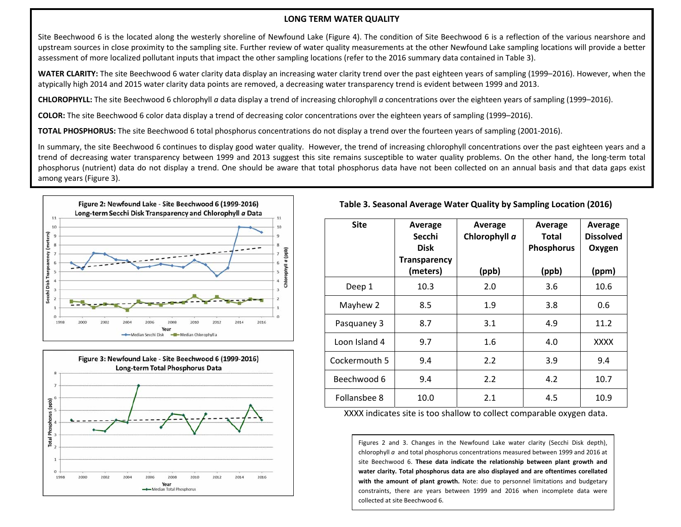## **LONG TERM WATER QUALITY**

Site Beechwood 6 is the located along the westerly shoreline of Newfound Lake (Figure 4). The condition of Site Beechwood 6 is <sup>a</sup> reflection of the various nearshore and upstream sources in close proximity to the sampling site. Further review of water quality measurements at the other Newfound Lake sampling locations will provide <sup>a</sup> better assessment of more localized pollutant inputs that impact the other sampling locations (refer to the 2016 summary data contained in Table 3).

**WATER CLARITY:** The site Beechwood 6 water clarity data display an increasing water clarity trend over the past eighteen years of sampling (1999–2016). However, when the atypically high 2014 and 2015 water clarity data points are removed, <sup>a</sup> decreasing water transparency trend is evident between 1999 and 2013.

**CHLOROPHYLL:** The site Beechwood 6 chlorophyll *<sup>a</sup>* data display <sup>a</sup> trend of increasing chlorophyll *<sup>a</sup>* concentrations over the eighteen years of sampling (1999–2016).

**COLOR:** The site Beechwood 6 color data display <sup>a</sup> trend of decreasing color concentrations over the eighteen years of sampling (1999–2016).

**TOTAL PHOSPHORUS:** The site Beechwood 6 total phosphorus concentrations do not display <sup>a</sup> trend over the fourteen years of sampling (2001‐2016).

In summary, the site Beechwood 6 continues to display good water quality. However, the trend of increasing chlorophyll concentrations over the past eighteen years and a trend of decreasing water transparency between 1999 and 2013 suggest this site remains susceptible to water quality problems. On the other hand, the long‐term total phosphorus (nutrient) data do not display <sup>a</sup> trend. One should be aware that total phosphorus data have not been collected on an annual basis and that data gaps exist among years (Figure 3).





| <b>Site</b>   | Average<br>Secchi<br>Disk       | Average<br>Chlorophyll a | Average<br>Total<br><b>Phosphorus</b> | Average<br><b>Dissolved</b><br>Oxygen |
|---------------|---------------------------------|--------------------------|---------------------------------------|---------------------------------------|
|               | <b>Transparency</b><br>(meters) | (ppb)                    | (ppb)                                 | (ppm)                                 |
| Deep 1        | 10.3                            | 2.0                      | 3.6                                   | 10.6                                  |
| Mayhew 2      | 8.5                             | 1.9                      | 3.8                                   | 0.6                                   |
| Pasquaney 3   | 8.7                             | 3.1                      | 4.9                                   | 11.2                                  |
| Loon Island 4 | 9.7                             | 1.6                      | 4.0                                   | XXXX                                  |
| Cockermouth 5 | 9.4                             | 2.2                      | 3.9                                   | 9.4                                   |
| Beechwood 6   | 9.4                             | 2.2                      | 4.2                                   | 10.7                                  |
| Follansbee 8  | 10.0                            | 2.1                      | 4.5                                   | 10.9                                  |

XXXX indicates site is too shallow to collect comparable oxygen data.

Figures 2 and 3. Changes in the Newfound Lake water clarity (Secchi Disk depth), chlorophyll *<sup>a</sup>* and total phosphorus concentrations measured between 1999 and 2016 at site Beechwood 6. **These data indicate the relationship between plant growth and water clarity. Total phosphorus data are also displayed and are oftentimes corellated with the amount of plant growth.** Note: due to personnel limitations and budgetary constraints, there are years between 1999 and 2016 when incomplete data were collected at site Beechwood 6.